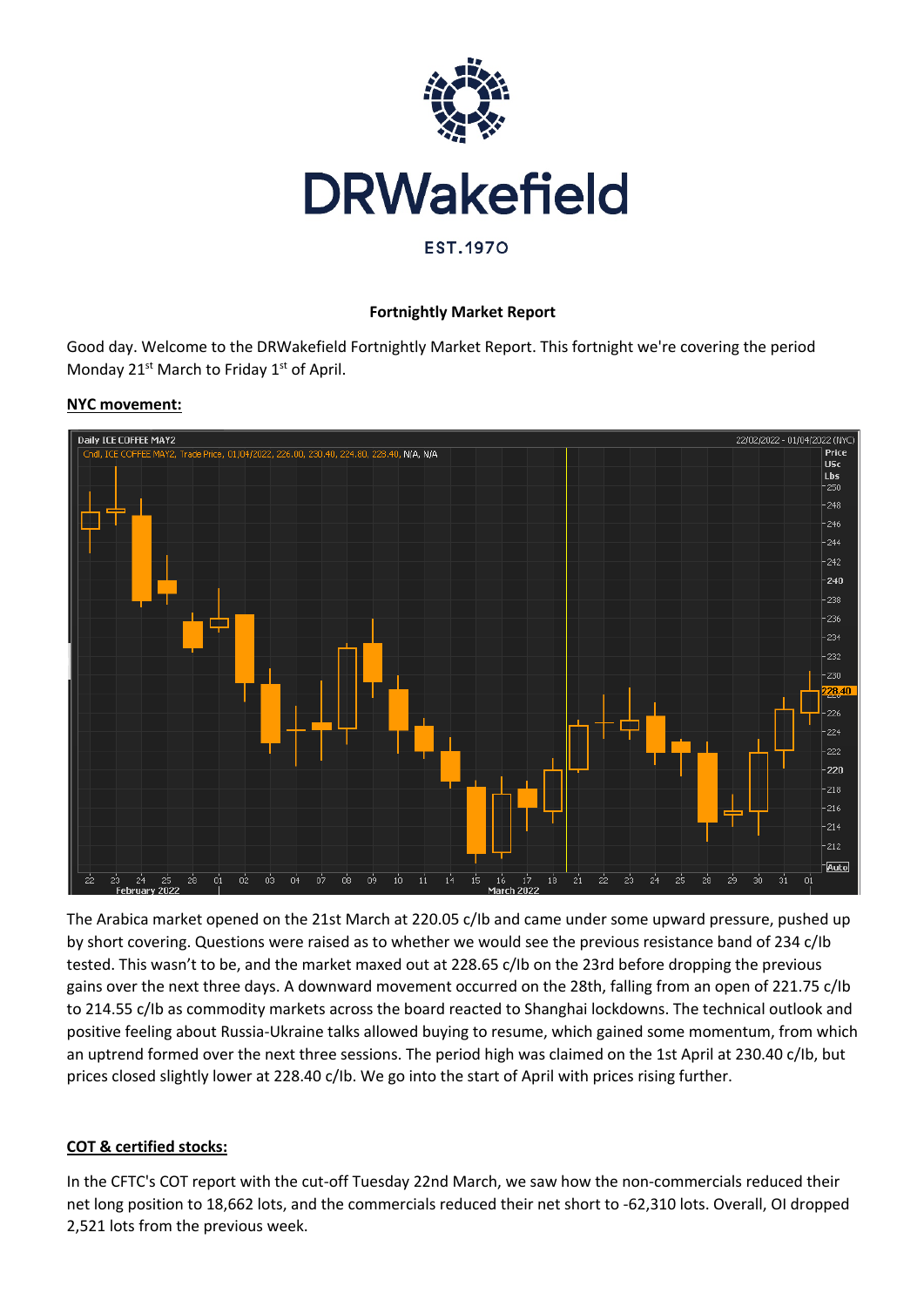

#### **Fortnightly Market Report**

Good day. Welcome to the DRWakefield Fortnightly Market Report. This fortnight we're covering the period Monday 21<sup>st</sup> March to Friday 1<sup>st</sup> of April.

#### **NYC movement:**



The Arabica market opened on the 21st March at 220.05 c/Ib and came under some upward pressure, pushed up by short covering. Questions were raised as to whether we would see the previous resistance band of 234 c/Ib tested. This wasn't to be, and the market maxed out at 228.65 c/Ib on the 23rd before dropping the previous gains over the next three days. A downward movement occurred on the 28th, falling from an open of 221.75 c/Ib to 214.55 c/Ib as commodity markets across the board reacted to Shanghai lockdowns. The technical outlook and positive feeling about Russia-Ukraine talks allowed buying to resume, which gained some momentum, from which an uptrend formed over the next three sessions. The period high was claimed on the 1st April at 230.40 c/Ib, but prices closed slightly lower at 228.40 c/Ib. We go into the start of April with prices rising further.

# **COT & certified stocks:**

In the CFTC's COT report with the cut-off Tuesday 22nd March, we saw how the non-commercials reduced their net long position to 18,662 lots, and the commercials reduced their net short to -62,310 lots. Overall, OI dropped 2,521 lots from the previous week.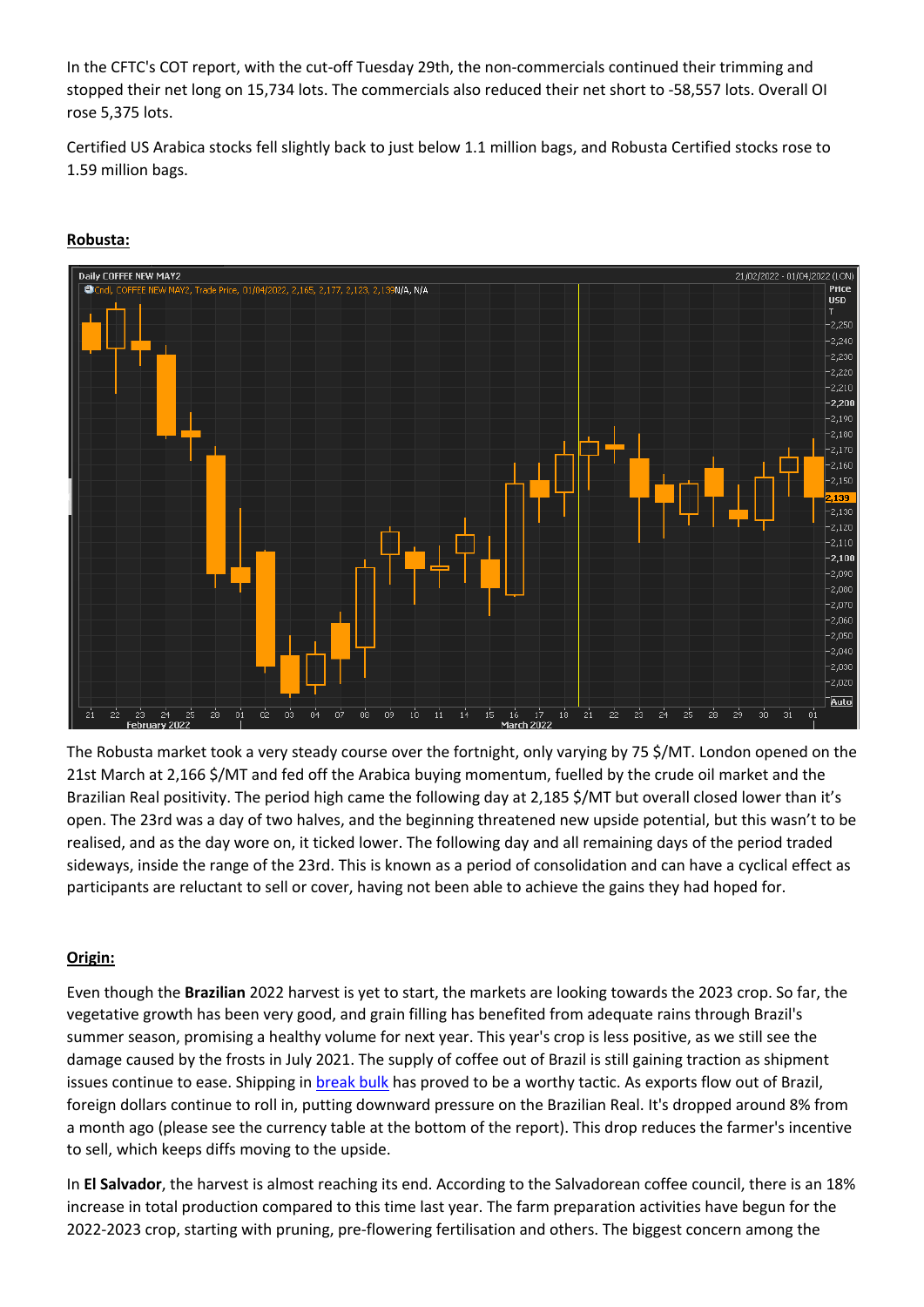In the CFTC's COT report, with the cut-off Tuesday 29th, the non-commercials continued their trimming and stopped their net long on 15,734 lots. The commercials also reduced their net short to -58,557 lots. Overall OI rose 5,375 lots.

Certified US Arabica stocks fell slightly back to just below 1.1 million bags, and Robusta Certified stocks rose to 1.59 million bags.

## **Robusta:**



The Robusta market took a very steady course over the fortnight, only varying by 75 \$/MT. London opened on the 21st March at 2,166 \$/MT and fed off the Arabica buying momentum, fuelled by the crude oil market and the Brazilian Real positivity. The period high came the following day at 2,185 \$/MT but overall closed lower than it's open. The 23rd was a day of two halves, and the beginning threatened new upside potential, but this wasn't to be realised, and as the day wore on, it ticked lower. The following day and all remaining days of the period traded sideways, inside the range of the 23rd. This is known as a period of consolidation and can have a cyclical effect as participants are reluctant to sell or cover, having not been able to achieve the gains they had hoped for.

# **Origin:**

Even though the **Brazilian** 2022 harvest is yet to start, the markets are looking towards the 2023 crop. So far, the vegetative growth has been very good, and grain filling has benefited from adequate rains through Brazil's summer season, promising a healthy volume for next year. This year's crop is less positive, as we still see the damage caused by the frosts in July 2021. The supply of coffee out of Brazil is still gaining traction as shipment issues continue to ease. Shipping in break bulk has proved to be a worthy tactic. As exports flow out of Brazil, foreign dollars continue to roll in, putting downward pressure on the Brazilian Real. It's dropped around 8% from a month ago (please see the currency table at the bottom of the report). This drop reduces the farmer's incentive to sell, which keeps diffs moving to the upside.

In **El Salvador**, the harvest is almost reaching its end. According to the Salvadorean coffee council, there is an 18% increase in total production compared to this time last year. The farm preparation activities have begun for the 2022-2023 crop, starting with pruning, pre-flowering fertilisation and others. The biggest concern among the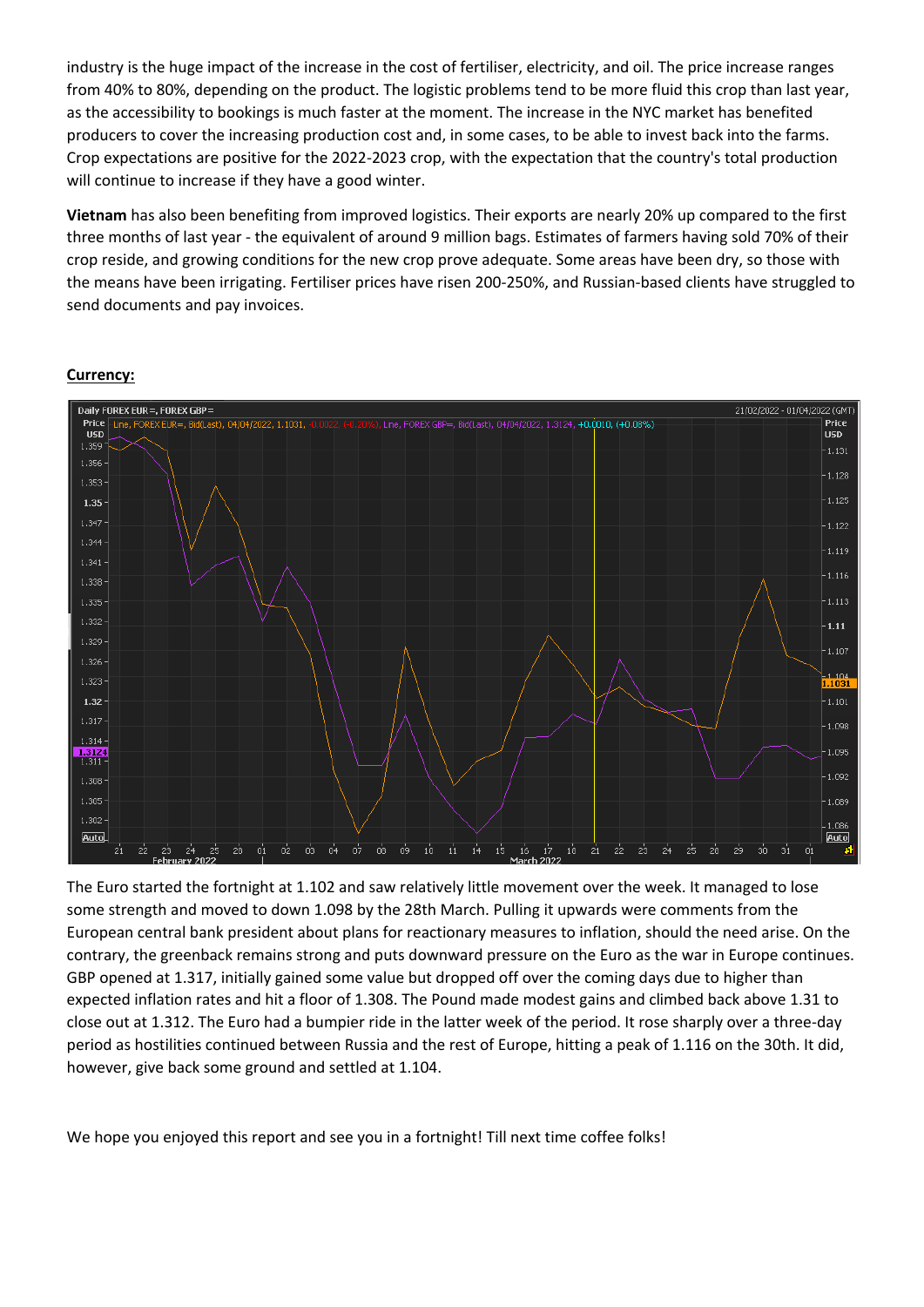industry is the huge impact of the increase in the cost of fertiliser, electricity, and oil. The price increase ranges from 40% to 80%, depending on the product. The logistic problems tend to be more fluid this crop than last year, as the accessibility to bookings is much faster at the moment. The increase in the NYC market has benefited producers to cover the increasing production cost and, in some cases, to be able to invest back into the farms. Crop expectations are positive for the 2022-2023 crop, with the expectation that the country's total production will continue to increase if they have a good winter.

**Vietnam** has also been benefiting from improved logistics. Their exports are nearly 20% up compared to the first three months of last year - the equivalent of around 9 million bags. Estimates of farmers having sold 70% of their crop reside, and growing conditions for the new crop prove adequate. Some areas have been dry, so those with the means have been irrigating. Fertiliser prices have risen 200-250%, and Russian-based clients have struggled to send documents and pay invoices.



## **Currency:**

The Euro started the fortnight at 1.102 and saw relatively little movement over the week. It managed to lose some strength and moved to down 1.098 by the 28th March. Pulling it upwards were comments from the European central bank president about plans for reactionary measures to inflation, should the need arise. On the contrary, the greenback remains strong and puts downward pressure on the Euro as the war in Europe continues. GBP opened at 1.317, initially gained some value but dropped off over the coming days due to higher than expected inflation rates and hit a floor of 1.308. The Pound made modest gains and climbed back above 1.31 to close out at 1.312. The Euro had a bumpier ride in the latter week of the period. It rose sharply over a three-day period as hostilities continued between Russia and the rest of Europe, hitting a peak of 1.116 on the 30th. It did, however, give back some ground and settled at 1.104.

We hope you enjoyed this report and see you in a fortnight! Till next time coffee folks!